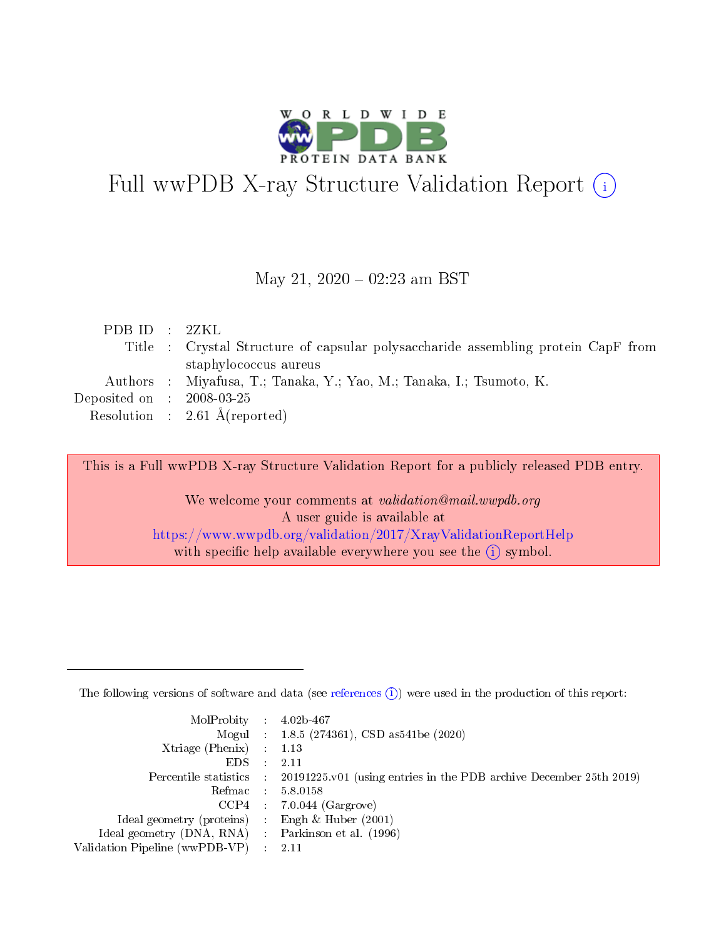

# Full wwPDB X-ray Structure Validation Report (i)

#### May 21,  $2020 - 02:23$  am BST

|  | PDBID : 2ZKL                                                                      |
|--|-----------------------------------------------------------------------------------|
|  | Title : Crystal Structure of capsular polysaccharide assembling protein CapF from |
|  | staphylococcus aureus                                                             |
|  | Authors : Miyafusa, T.; Tanaka, Y.; Yao, M.; Tanaka, I.; Tsumoto, K.              |
|  | Deposited on : $2008-03-25$                                                       |
|  | Resolution : $2.61 \text{ Å}$ (reported)                                          |

This is a Full wwPDB X-ray Structure Validation Report for a publicly released PDB entry.

We welcome your comments at validation@mail.wwpdb.org A user guide is available at <https://www.wwpdb.org/validation/2017/XrayValidationReportHelp> with specific help available everywhere you see the  $(i)$  symbol.

The following versions of software and data (see [references](https://www.wwpdb.org/validation/2017/XrayValidationReportHelp#references)  $(1)$ ) were used in the production of this report:

| $MolProbability$ : 4.02b-467                      |                              |                                                                                            |
|---------------------------------------------------|------------------------------|--------------------------------------------------------------------------------------------|
|                                                   |                              | Mogul : $1.8.5$ (274361), CSD as 541be (2020)                                              |
| Xtriage (Phenix) $: 1.13$                         |                              |                                                                                            |
| EDS –                                             | $\sim$                       | -2.11                                                                                      |
|                                                   |                              | Percentile statistics : 20191225.v01 (using entries in the PDB archive December 25th 2019) |
| Refmac : 5.8.0158                                 |                              |                                                                                            |
| CCP4                                              |                              | $7.0.044$ (Gargrove)                                                                       |
| Ideal geometry (proteins)                         | $\mathcal{L}_{\mathrm{eff}}$ | Engh & Huber $(2001)$                                                                      |
| Ideal geometry (DNA, RNA) Parkinson et al. (1996) |                              |                                                                                            |
| Validation Pipeline (wwPDB-VP) : 2.11             |                              |                                                                                            |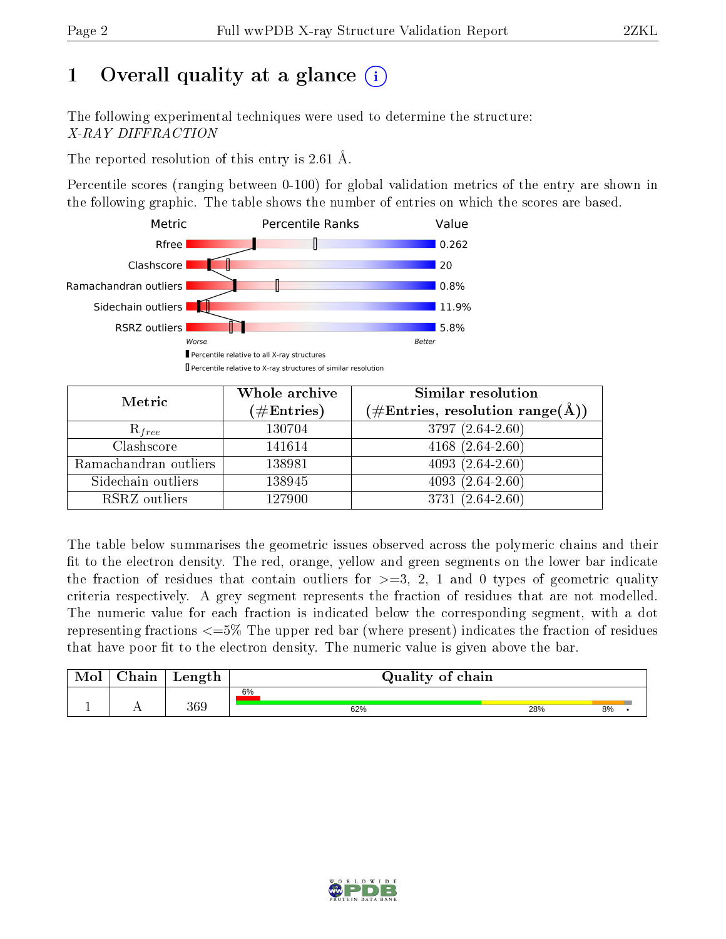## 1 [O](https://www.wwpdb.org/validation/2017/XrayValidationReportHelp#overall_quality)verall quality at a glance  $(i)$

The following experimental techniques were used to determine the structure: X-RAY DIFFRACTION

The reported resolution of this entry is 2.61 Å.

Percentile scores (ranging between 0-100) for global validation metrics of the entry are shown in the following graphic. The table shows the number of entries on which the scores are based.



| Metric                | Whole archive        | Similar resolution                                                        |
|-----------------------|----------------------|---------------------------------------------------------------------------|
|                       | $(\#\text{Entries})$ | $\phi^{\prime}\#\mathrm{Entries}, \mathrm{resolution~range}(\mathrm{A}).$ |
| $R_{free}$            | 130704               | 3797 (2.64-2.60)                                                          |
| Clashscore            | 141614               | $4168(2.64-2.60)$                                                         |
| Ramachandran outliers | 138981               | 4093 $(2.64 - 2.60)$                                                      |
| Sidechain outliers    | 138945               | $4093(2.64-2.60)$                                                         |
| RSRZ outliers         | 127900               | $3731(2.64-2.60)$                                                         |

The table below summarises the geometric issues observed across the polymeric chains and their fit to the electron density. The red, orange, yellow and green segments on the lower bar indicate the fraction of residues that contain outliers for  $>=3, 2, 1$  and 0 types of geometric quality criteria respectively. A grey segment represents the fraction of residues that are not modelled. The numeric value for each fraction is indicated below the corresponding segment, with a dot representing fractions  $\epsilon=5\%$  The upper red bar (where present) indicates the fraction of residues that have poor fit to the electron density. The numeric value is given above the bar.

| Mol | ${\rm Chain}$ | Length | Quality of chain |     |    |  |  |  |
|-----|---------------|--------|------------------|-----|----|--|--|--|
|     |               |        | 6%               |     |    |  |  |  |
|     |               | 369    | 62%              | 28% | 8% |  |  |  |

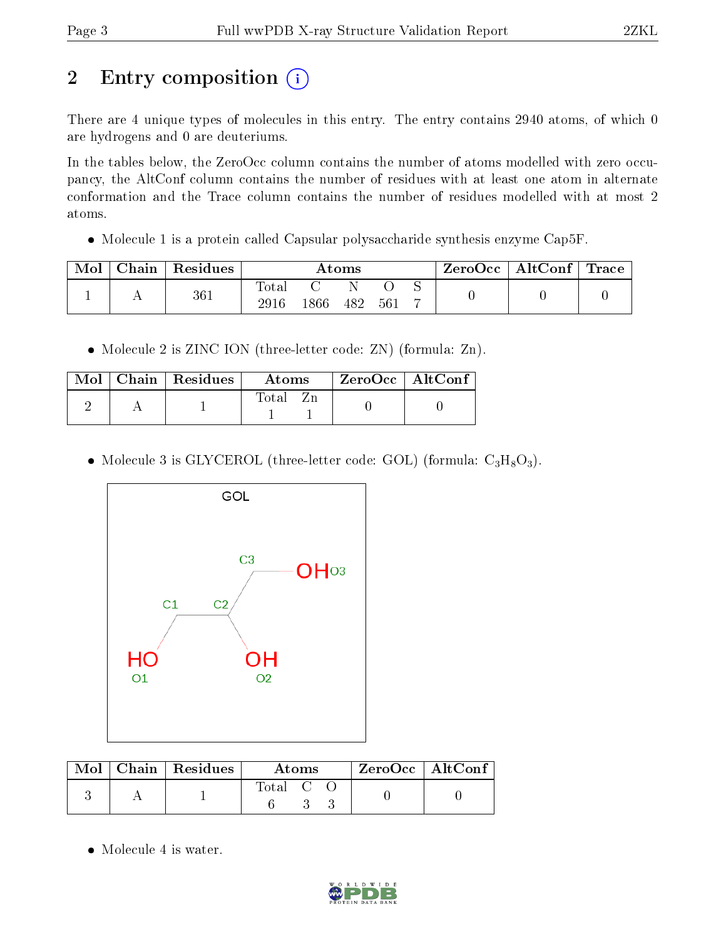## 2 Entry composition (i)

There are 4 unique types of molecules in this entry. The entry contains 2940 atoms, of which 0 are hydrogens and 0 are deuteriums.

In the tables below, the ZeroOcc column contains the number of atoms modelled with zero occupancy, the AltConf column contains the number of residues with at least one atom in alternate conformation and the Trace column contains the number of residues modelled with at most 2 atoms.

• Molecule 1 is a protein called Capsular polysaccharide synthesis enzyme Cap5F.

| Mol | Chain | $\mid$ Residues | Atoms               |      |     |     |  | $\rm{ZeroOcc}$   $\rm{AltConf}$   $\rm{Trace}$ |  |
|-----|-------|-----------------|---------------------|------|-----|-----|--|------------------------------------------------|--|
|     |       | 361             | $\rm Total$<br>2916 | 1866 | 482 | 561 |  |                                                |  |

• Molecule 2 is ZINC ION (three-letter code: ZN) (formula: Zn).

|  | $\text{Mol}$   Chain   Residues | - Atoms  | $\mid$ ZeroOcc $\mid$ AltConf |  |
|--|---------------------------------|----------|-------------------------------|--|
|  |                                 | Total Zn |                               |  |

• Molecule 3 is GLYCEROL (three-letter code: GOL) (formula:  $C_3H_8O_3$ ).



|  | $\text{Mol}$   Chain   Residues | <b>Atoms</b> | $ZeroOcc \   \ AltConf$ |  |
|--|---------------------------------|--------------|-------------------------|--|
|  |                                 | Total C C    |                         |  |

• Molecule 4 is water.

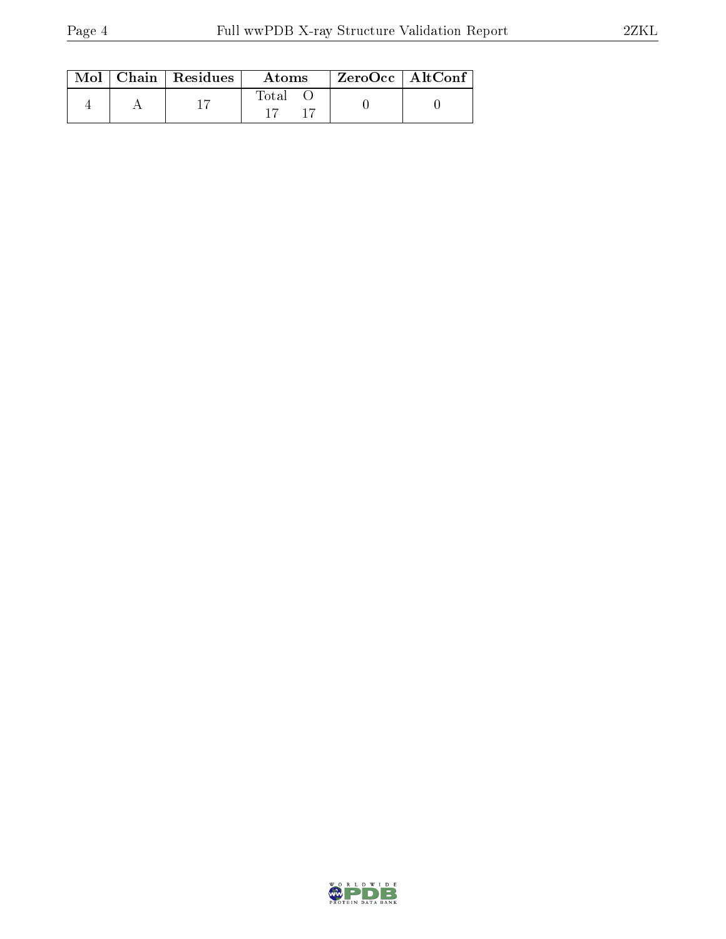|  | $\text{Mol}$   Chain   Residues | Atoms | ZeroOcc   AltConf |
|--|---------------------------------|-------|-------------------|
|  |                                 | Total |                   |

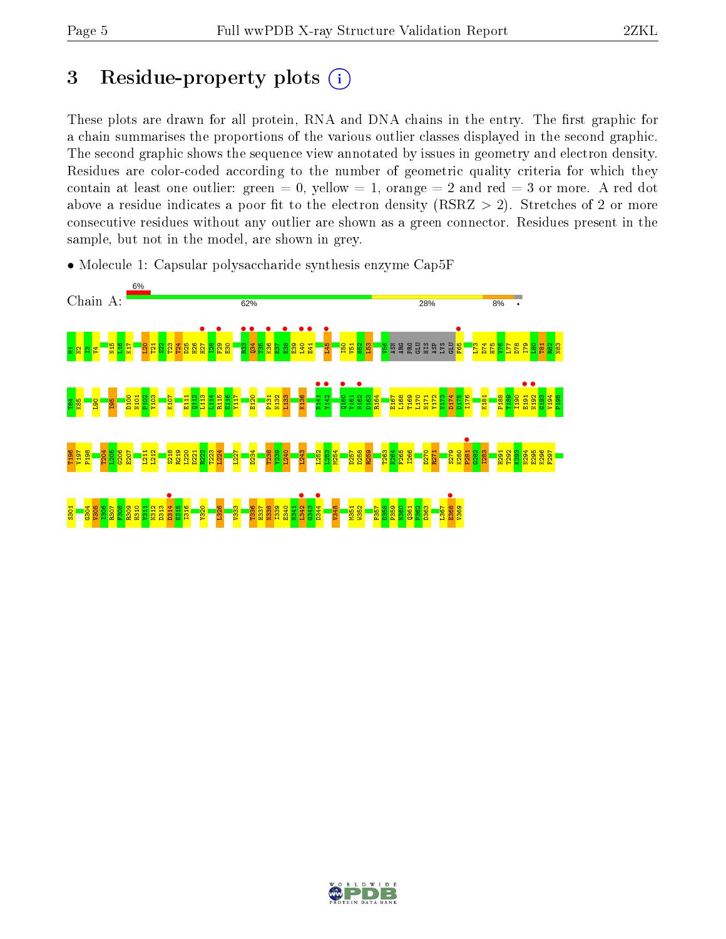## 3 Residue-property plots  $(i)$

These plots are drawn for all protein, RNA and DNA chains in the entry. The first graphic for a chain summarises the proportions of the various outlier classes displayed in the second graphic. The second graphic shows the sequence view annotated by issues in geometry and electron density. Residues are color-coded according to the number of geometric quality criteria for which they contain at least one outlier: green  $= 0$ , yellow  $= 1$ , orange  $= 2$  and red  $= 3$  or more. A red dot above a residue indicates a poor fit to the electron density (RSRZ  $> 2$ ). Stretches of 2 or more consecutive residues without any outlier are shown as a green connector. Residues present in the sample, but not in the model, are shown in grey.



• Molecule 1: Capsular polysaccharide synthesis enzyme Cap5F

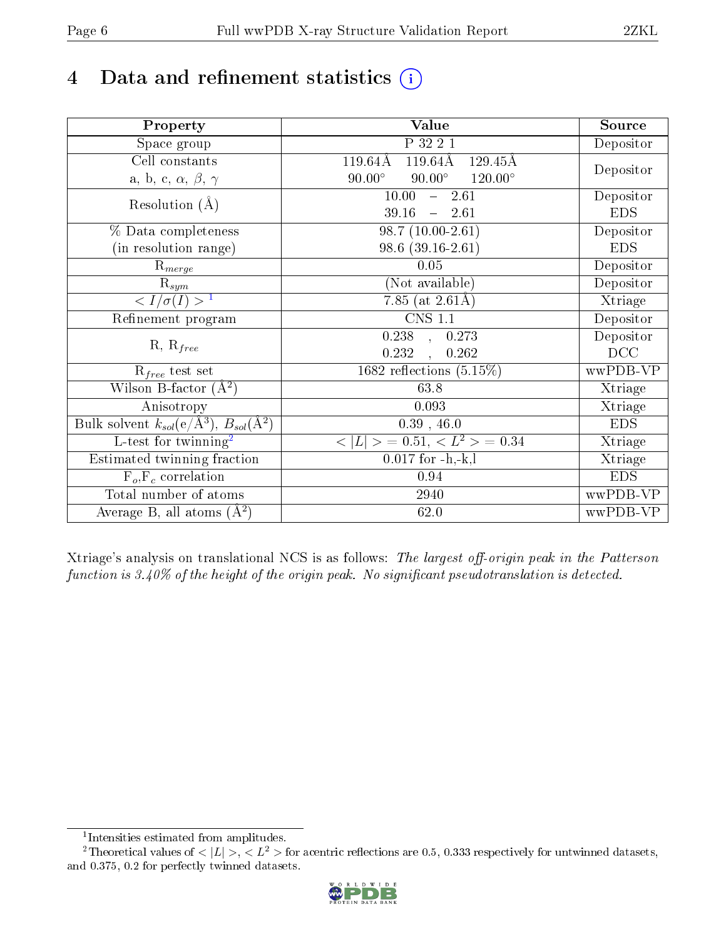## 4 Data and refinement statistics  $(i)$

| Property                                                             | Value                                                          | Source     |
|----------------------------------------------------------------------|----------------------------------------------------------------|------------|
| Space group                                                          | P 32 2 1                                                       | Depositor  |
| Cell constants                                                       | $119.64\text{\AA}$<br>$119.64\text{\AA}$<br>$129.45\text{\AA}$ |            |
| a, b, c, $\alpha$ , $\beta$ , $\gamma$                               | $90.00^\circ$<br>$120.00^{\circ}$<br>$90.00^\circ$             | Depositor  |
| Resolution $(A)$                                                     | 10.00<br>$-2.61$                                               | Depositor  |
|                                                                      | 39.16<br>$-2.61$                                               | <b>EDS</b> |
| % Data completeness                                                  | $98.7(10.00-2.61)$                                             | Depositor  |
| (in resolution range)                                                | $98.6(39.16-2.61)$                                             | <b>EDS</b> |
| $R_{merge}$                                                          | 0.05                                                           | Depositor  |
| $\mathrm{R}_{sym}$                                                   | (Not available)                                                | Depositor  |
| $\sqrt{I/\sigma(I)} > 1$                                             | 7.85 (at $2.61\text{\AA}$ )                                    | Xtriage    |
| Refinement program                                                   | $\overline{\text{CNS} 1.1}$                                    | Depositor  |
|                                                                      | $\overline{0.238}$ ,<br>0.273                                  | Depositor  |
| $R, R_{free}$                                                        | 0.232<br>0.262<br>$\mathbf{A}$                                 | DCC        |
| $\mathcal{R}_{free}$ test set                                        | 1682 reflections $(5.15\%)$                                    | wwPDB-VP   |
| Wilson B-factor $(A^2)$                                              | 63.8                                                           | Xtriage    |
| Anisotropy                                                           | 0.093                                                          | Xtriage    |
| Bulk solvent $k_{sol}(e/\mathring{A}^3)$ , $B_{sol}(\mathring{A}^2)$ | $0.39$ , $46.0$                                                | <b>EDS</b> |
| L-test for twinning <sup>2</sup>                                     | $< L >$ = 0.51, $< L2 >$ = 0.34                                | Xtriage    |
| Estimated twinning fraction                                          | $0.017$ for $-h,-k,l$                                          | Xtriage    |
| $F_o, F_c$ correlation                                               | 0.94                                                           | <b>EDS</b> |
| Total number of atoms                                                | 2940                                                           | wwPDB-VP   |
| Average B, all atoms $(A^2)$                                         | 62.0                                                           | wwPDB-VP   |

Xtriage's analysis on translational NCS is as follows: The largest off-origin peak in the Patterson function is  $3.40\%$  of the height of the origin peak. No significant pseudotranslation is detected.

<sup>&</sup>lt;sup>2</sup>Theoretical values of  $\langle |L| \rangle$ ,  $\langle L^2 \rangle$  for acentric reflections are 0.5, 0.333 respectively for untwinned datasets, and 0.375, 0.2 for perfectly twinned datasets.



<span id="page-5-1"></span><span id="page-5-0"></span><sup>1</sup> Intensities estimated from amplitudes.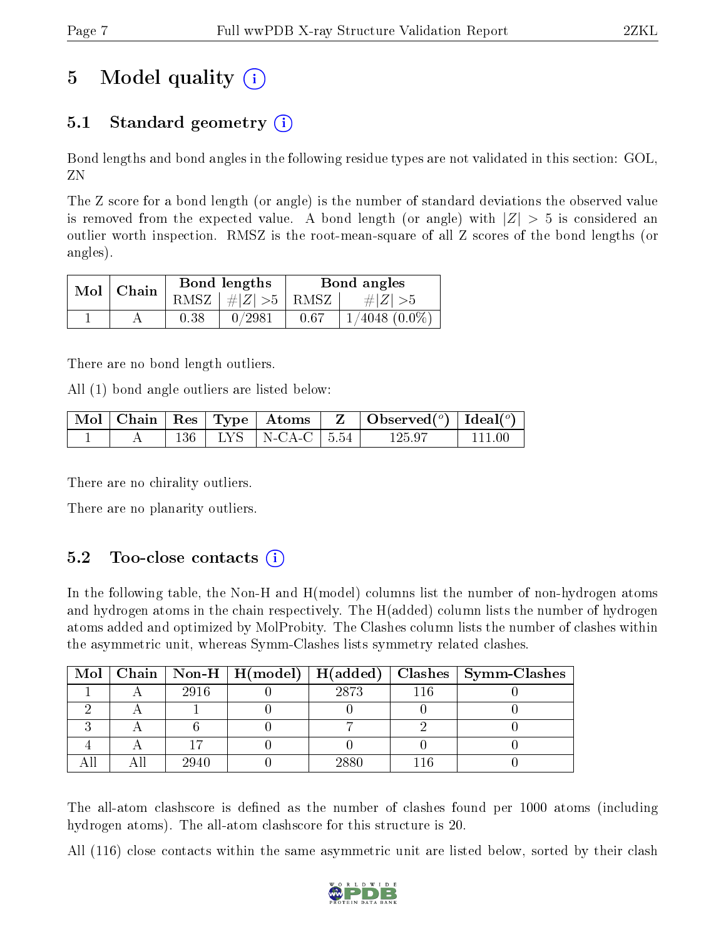## 5 Model quality  $(i)$

## 5.1 Standard geometry  $(i)$

Bond lengths and bond angles in the following residue types are not validated in this section: GOL, ZN

The Z score for a bond length (or angle) is the number of standard deviations the observed value is removed from the expected value. A bond length (or angle) with  $|Z| > 5$  is considered an outlier worth inspection. RMSZ is the root-mean-square of all Z scores of the bond lengths (or angles).

| $Mol$   Chain |      | Bond lengths                            | Bond angles |                    |  |
|---------------|------|-----------------------------------------|-------------|--------------------|--|
|               |      | RMSZ $\mid \#  Z  > 5 \mid$ RMSZ $\mid$ |             | $\# Z  > 5$        |  |
|               | 0.38 | 0/2981                                  | 0.67        | $1/4048$ $(0.0\%)$ |  |

There are no bond length outliers.

All (1) bond angle outliers are listed below:

|  |  |                           | $\mid$ Mol $\mid$ Chain $\mid$ Res $\mid$ Type $\mid$ Atoms $\mid$ Z $\mid$ Observed $({}^o)$ $\mid$ Ideal $({}^o)$ |           |
|--|--|---------------------------|---------------------------------------------------------------------------------------------------------------------|-----------|
|  |  | 136   LYS   N-CA-C   5.54 | -125.97                                                                                                             | -- 111 00 |

There are no chirality outliers.

There are no planarity outliers.

### $5.2$  Too-close contacts  $(i)$

In the following table, the Non-H and H(model) columns list the number of non-hydrogen atoms and hydrogen atoms in the chain respectively. The H(added) column lists the number of hydrogen atoms added and optimized by MolProbity. The Clashes column lists the number of clashes within the asymmetric unit, whereas Symm-Clashes lists symmetry related clashes.

|  |      |      | Mol   Chain   Non-H   H(model)   H(added)   Clashes   Symm-Clashes |
|--|------|------|--------------------------------------------------------------------|
|  | 2916 | 2873 |                                                                    |
|  |      |      |                                                                    |
|  |      |      |                                                                    |
|  |      |      |                                                                    |
|  | 2940 | 2880 |                                                                    |

The all-atom clashscore is defined as the number of clashes found per 1000 atoms (including hydrogen atoms). The all-atom clashscore for this structure is 20.

All (116) close contacts within the same asymmetric unit are listed below, sorted by their clash

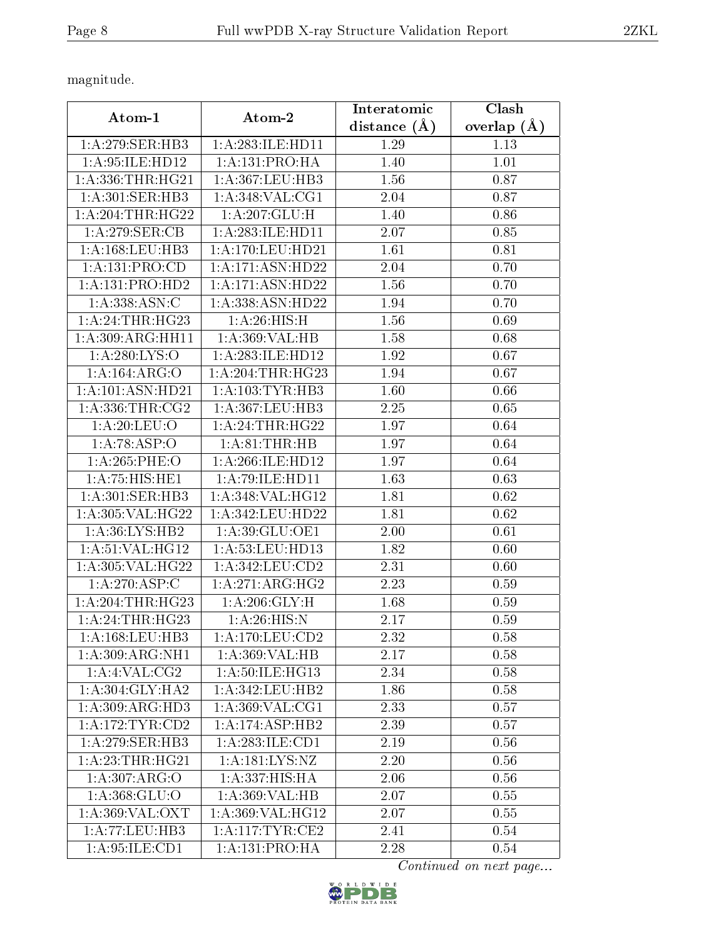magnitude.

| Atom-1                        | Atom-2                          | Interatomic    | Clash         |
|-------------------------------|---------------------------------|----------------|---------------|
|                               |                                 | distance $(A)$ | overlap $(A)$ |
| 1: A:279: SER: HB3            | 1: A: 283: ILE: HD11            | 1.29           | 1.13          |
| 1: A:95: ILE:HD12             | 1:A:131:PRO:HA                  | 1.40           | 1.01          |
| 1: A: 336: THR: HG21          | 1:A:367:LEU:HB3                 | 1.56           | 0.87          |
| 1: A:301:SER:HB3              | 1: A:348: VAL:CG1               | 2.04           | 0.87          |
| 1: A:204:THR:HG22             | 1:A:207:GLU:H                   | 1.40           | 0.86          |
| 1:A:279:SER:CB                | 1: A: 283: ILE: HD11            | 2.07           | 0.85          |
| 1: A: 168: LEU: HB3           | 1: A: 170: LEU: HD21            | 1.61           | 0.81          |
| 1:A:131:PRO:CD                | $1: A:171: \overline{ASN:HD22}$ | 2.04           | 0.70          |
| 1:A:131:PRO:HD2               | 1:A:171:ASN:HD22                | 1.56           | 0.70          |
| 1: A: 338: ASN: C             | 1:A:338:ASN:HD22                | 1.94           | 0.70          |
| 1:A:24:THR:HG23               | 1: A:26: HIS:H                  | 1.56           | 0.69          |
| 1:A:309:ARG:HH11              | 1:A:369:VAL:HB                  | 1.58           | 0.68          |
| 1:A:280:LYS:O                 | 1:A:283:ILE:HD12                | 1.92           | 0.67          |
| 1:A:164:ARG:O                 | 1: A:204:THR:HG23               | 1.94           | 0.67          |
| 1:A:101:ASN:HD21              | 1: A: 103: TYR: HB3             | 1.60           | 0.66          |
| 1: A: 336: THR: CG2           | 1:A:367:LEU:HB3                 | 2.25           | 0.65          |
| 1: A:20:LEU:O                 | 1:A:24:THR:HG22                 | 1.97           | 0.64          |
| 1:A:78:ASP:O                  | 1: A:81:THR:HB                  | 1.97           | 0.64          |
| 1:A:265:PHE:O                 | 1:A:266:ILE:HD12                | 1.97           | 0.64          |
| 1: A:75: HIS: HE1             | $1:$ A:79:ILE:HD11              | 1.63           | 0.63          |
| 1: A:301:SER:HB3              | 1:A:348:VAL:HG12                | 1.81           | 0.62          |
| 1:A:305:VAL:HG22              | 1: A: 342: LEU: HD22            | 1.81           | 0.62          |
| 1: A:36: LYS: HB2             | 1:A:39:GLU:OE1                  | 2.00           | 0.61          |
| 1: A:51: VAL: HG12            | 1: A:53:LEU:HD13                | 1.82           | 0.60          |
| 1:A:305:VAL:HG22              | 1:A:342:LEU:CD2                 | 2.31           | 0.60          |
| 1:A:270:ASP:C                 | 1:A:271:ARG:HG2                 | 2.23           | 0.59          |
| 1: A:204:THR:HG23             | 1: A:206: GLY: H                | 1.68           | 0.59          |
| 1:A:24:THR:HG23               | 1: A:26: HIS:N                  | 2.17           | 0.59          |
| 1:A:168:LEU:HB3               | 1: A:170: LEU: CD2              | 2.32           | 0.58          |
| 1:A:309:ARG:NH1               | 1:A:369:VAL:HB                  | 2.17           | 0.58          |
| 1:A:4:VAL:CG2                 | 1:A:50:ILE:HG13                 | 2.34           | 0.58          |
| 1: A:304: GLY:HA2             | 1:A:342:LEU:HB2                 | 1.86           | 0.58          |
| 1:A:309:ARG:HD3               | 1:A:369:VAL:CG1                 | 2.33           | 0.57          |
| 1: A:172: TYR: CD2            | 1:A:174:ASP:HB2                 | 2.39           | 0.57          |
| 1: A:279: SER:HB3             | 1: A:283: ILE: CD1              | 2.19           | 0.56          |
| $1:A:23:THR:HG$ <sup>21</sup> | 1: A: 181: LYS: NZ              | 2.20           | 0.56          |
| 1:A:307:ARG:O                 | 1:A:337:HIS:HA                  | 2.06           | 0.56          |
| 1:A:368:GLU:O                 | 1: A:369: VAL:HB                | 2.07           | 0.55          |
| 1: A:369: VAL: OXT            | 1:A:369:VAL:HG12                | 2.07           | 0.55          |
| 1:A:77:LEU:HB3                | 1: A:117: TYR: CE2              | 2.41           | 0.54          |
| 1:A:95:ILE:CD1                | 1:A:131:PRO:HA                  | 2.28           | 0.54          |

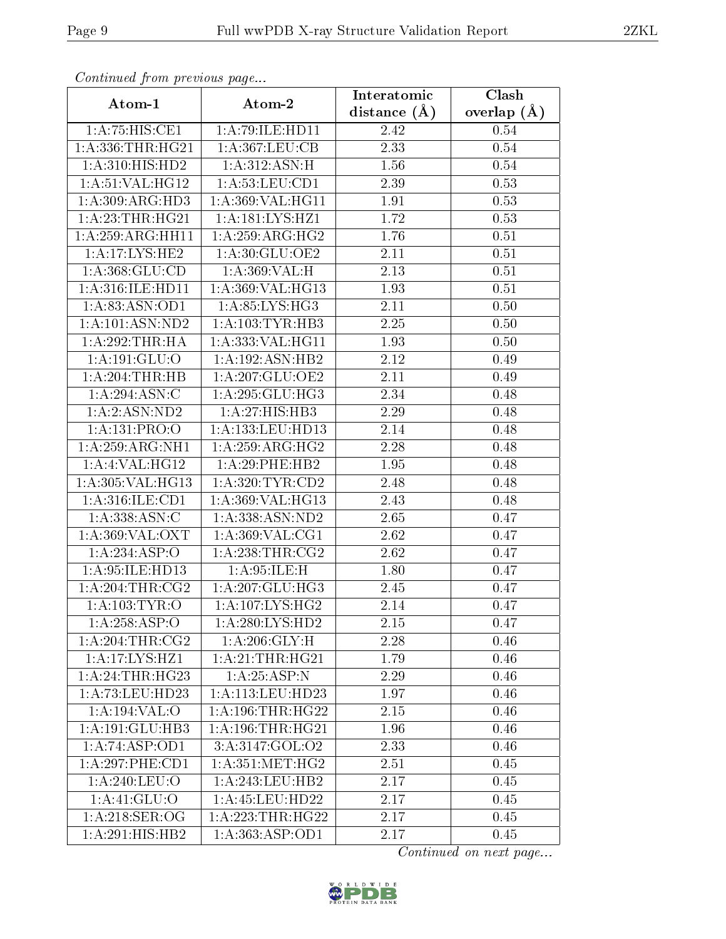| Continuea from previous page  |                      | Interatomic    | Clash         |
|-------------------------------|----------------------|----------------|---------------|
| Atom-1                        | Atom-2               | distance $(A)$ | overlap $(A)$ |
| 1:A:75:HIS:CE1                | 1:A:79:ILE:HD11      | 2.42           | 0.54          |
| 1: A: 336: THR: HG21          | 1:A:367:LEU:CB       | 2.33           | 0.54          |
| 1: A:310:HIS:HD2              | 1: A:312: ASN:H      | 1.56           | 0.54          |
| 1: A:51: VAL: HG12            | 1: A:53:LEU:CD1      | 2.39           | 0.53          |
| 1: A:309: ARG:HD3             | 1:A:369:VAL:HG11     | 1.91           | 0.53          |
| 1: A:23:THR:HG21              | 1:A:181:LYS:HZ1      | 1.72           | 0.53          |
| 1:A:259:ARG:HH11              | 1:A:259:ARG:HG2      | 1.76           | 0.51          |
| 1:A:17:LYS:HE2                | 1: A:30: GLU:OE2     | 2.11           | 0.51          |
| 1: A: 368: GLU: CD            | 1:A:369:VAL:H        | 2.13           | 0.51          |
| 1: A:316: ILE: HDI1           | 1:A:369:VAL:HG13     | 1.93           | 0.51          |
| 1:A:83:ASN:OD1                | 1: A:85: LYS:HG3     | 2.11           | 0.50          |
| $1:$ A:101:ASN:ND2            | 1: A: 103: TYR: HB3  | 2.25           | 0.50          |
| 1:A:292:THR:HA                | 1:A:333:VAL:HG11     | 1.93           | 0.50          |
| 1:A:191:GLU:O                 | 1:A:192:ASN:HB2      | 2.12           | 0.49          |
| $1:A:204$ : THR: HB           | 1:A:207:GLU:OE2      | 2.11           | 0.49          |
| 1: A:294: ASN: C              | 1:A:295:GLU:HG3      | 2.34           | 0.48          |
| 1:A:2:ASN:ND2                 | 1:A:27:HIS:HB3       | 2.29           | 0.48          |
| 1:A:131:PRO:O                 | 1:A:133:LEU:HD13     | 2.14           | 0.48          |
| 1:A:259:ARG:NH1               | 1: A:259: ARG: HG2   | 2.28           | 0.48          |
| 1:A:4:VAL:HG12                | 1:A:29:PHE:HB2       | 1.95           | 0.48          |
| $1:A:305:V\overline{AL:HG13}$ | 1: A:320: TYR: CD2   | 2.48           | 0.48          |
| 1: A:316: ILE: CD1            | 1:A:369:VAL:HG13     | 2.43           | 0.48          |
| 1: A: 338: ASN: C             | 1:A:338:ASN:ND2      | 2.65           | 0.47          |
| 1: A:369: VAL: OXT            | 1: A:369: VAL:CG1    | 2.62           | 0.47          |
| 1:A:234:ASP:O                 | 1: A:238:THR:CG2     | 2.62           | 0.47          |
| 1:A:95:ILE:HD13               | 1: A:95: ILE:H       | 1.80           | 0.47          |
| 1: A:204:THR:CG2              | 1: A: 207: GLU: HG3  | 2.45           | 0.47          |
| 1: A: 103: TYR: O             | 1: A:107: LYS: HG2   | 2.14           | 0.47          |
| 1:A:258:ASP:O                 | 1: A:280:LYS:HD2     | 2.15           | 0.47          |
| 1: A:204:THR:CG2              | 1: A:206: GLY:H      | 2.28           | 0.46          |
| 1:A:17:LYS:HZ1                | 1:A:21:THR:HG21      | 1.79           | 0.46          |
| 1:A:24:THR:HG23               | 1:A:25:ASP:N         | 2.29           | 0.46          |
| 1: A: 73: LEU: HD23           | 1: A:113: LEU: HD23  | 1.97           | 0.46          |
| 1:A:194:VAL:O                 | 1: A:196:THR:HG22    | 2.15           | 0.46          |
| 1:A:191:GLU:HB3               | 1: A: 196: THR: HG21 | 1.96           | 0.46          |
| 1:A:74:ASP:OD1                | 3: A: 3147: GOL: O2  | 2.33           | 0.46          |
| 1:A:297:PHE:CD1               | 1: A: 351: MET:HG2   | 2.51           | 0.45          |
| 1: A:240:LEU:O                | 1:A:243:LEU:HB2      | 2.17           | 0.45          |
| 1: A:41: GLU:O                | 1: A: 45: LEU: HD22  | 2.17           | 0.45          |
| 1: A:218: SER:OG              | 1:A:223:THR:HG22     | 2.17           | 0.45          |
| $1:A:291:\overline{HIS:HB2}$  | 1: A: 363: ASP:OD1   | $2.17\,$       | 0.45          |

Continued from previous page.

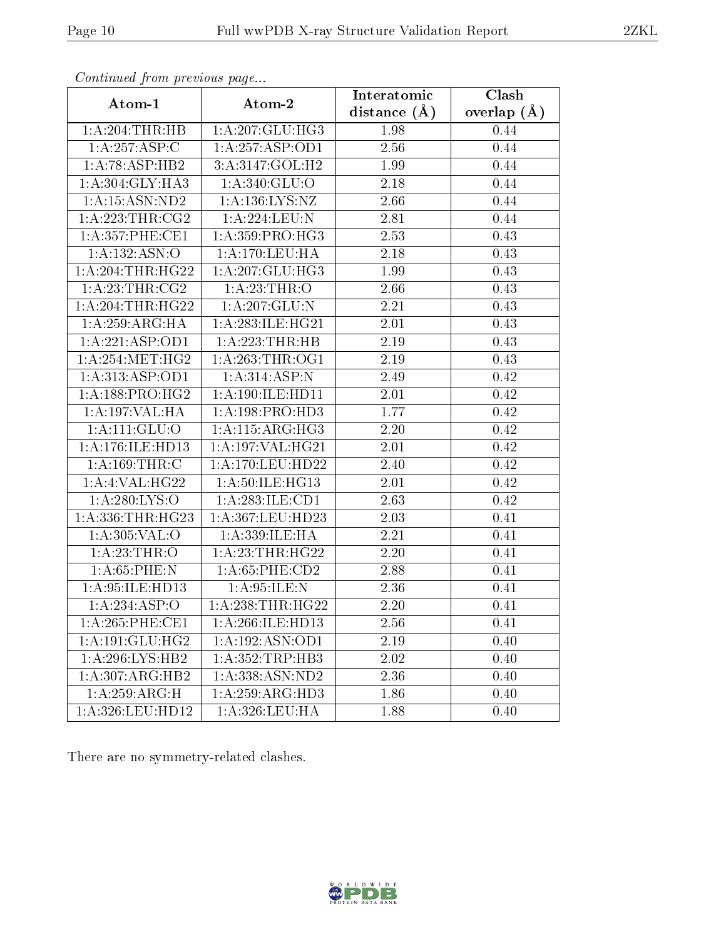| contentava promono ao pago |                     | Interatomic       | $\overline{\text{Clash}}$ |
|----------------------------|---------------------|-------------------|---------------------------|
| Atom-1                     | Atom-2              | distance $(A)$    | overlap $(A)$             |
| 1:A:204:THR:HB             | 1:A:207:GLU:HG3     | 1.98              | 0.44                      |
| 1:A:257:ASP:C              | 1: A:257: ASP:OD1   | 2.56              | 0.44                      |
| 1:A:78:ASP:HB2             | 3:A:3147:GOL:H2     | 1.99              | 0.44                      |
| 1:A:304:GLY:HA3            | 1: A:340: GLU:O     | 2.18              | 0.44                      |
| 1: A: 15: ASN: ND2         | 1: A: 136: LYS: NZ  | 2.66              | 0.44                      |
| 1: A:223:THR:CG2           | 1:A:224:LEU:N       | 2.81              | 0.44                      |
| 1: A:357:PHE:CE1           | 1:A:359:PRO:HG3     | 2.53              | 0.43                      |
| 1:A:132:ASN:O              | 1: A:170:LEU:HA     | 2.18              | 0.43                      |
| 1: A:204:THR:HG22          | 1:A:207:GLU:HG3     | 1.99              | 0.43                      |
| 1: A:23:THR:CG2            | 1: A:23:THR:O       | 2.66              | 0.43                      |
| 1:A:204:THR:HG22           | 1:A:207:GLU:N       | 2.21              | 0.43                      |
| 1: A:259: ARG: HA          | 1: A:283: ILE: HG21 | 2.01              | 0.43                      |
| 1:A:221:ASP:OD1            | 1: A:223:THR:HB     | 2.19              | 0.43                      |
| 1: A:254:MET:HG2           | 1: A:263:THR:OG1    | $\overline{2}.19$ | 0.43                      |
| 1: A:313: ASP:OD1          | 1:A:314:ASP:N       | 2.49              | 0.42                      |
| 1: A: 188: PRO: HG2        | 1:A:190:ILE:HD11    | 2.01              | 0.42                      |
| 1:A:197:VAL:HA             | 1:A:198:PRO:HD3     | 1.77              | 0.42                      |
| $1:A:111:\overline{GLU:O}$ | 1: A:115: ARG:HG3   | 2.20              | 0.42                      |
| 1: A:176: ILE: HD13        | 1:A:197:VAL:HG21    | 2.01              | 0.42                      |
| 1:A:169:THR:C              | 1: A:170: LEU: HD22 | 2.40              | 0.42                      |
| 1:A:4:VAL:HG22             | 1: A:50: ILE: HG13  | 2.01              | 0.42                      |
| 1: A:280: LYS:O            | 1:A:283:ILE:CD1     | 2.63              | 0.42                      |
| 1:A:336:THR:HG23           | 1:A:367:LEU:HD23    | 2.03              | 0.41                      |
| 1:A:305:VAL:O              | 1:A:339:ILE:HA      | 2.21              | 0.41                      |
| 1:A:23:THR:O               | 1:A:23:THR:HG22     | 2.20              | 0.41                      |
| 1: A:65:PHE:N              | 1:A:65:PHE:CD2      | 2.88              | 0.41                      |
| $1:$ A:95:ILE:HD13         | 1: A:95: ILE:N      | 2.36              | 0.41                      |
| 1:A:234:ASP:O              | 1:A:238:THR:HG22    | 2.20              | 0.41                      |
| 1: A:265:PHE:CE1           | 1:A:266:ILE:HD13    | 2.56              | 0.41                      |
| 1:A:191:GLU:HG2            | 1:A:192:ASN:OD1     | 2.19              | 0.40                      |
| 1:A:296:LYS:HB2            | 1:A:352:TRP:HB3     | 2.02              | 0.40                      |
| 1:A:307:ARG:HB2            | 1:A:338:ASN:ND2     | 2.36              | 0.40                      |
| 1:A:259:ARG:H              | 1:A:259:ARG:HD3     | 1.86              | 0.40                      |
| 1:A:326:LEU:HD12           | 1:A:326:LEU:HA      | 1.88              | 0.40                      |

Continued from previous page.

There are no symmetry-related clashes.

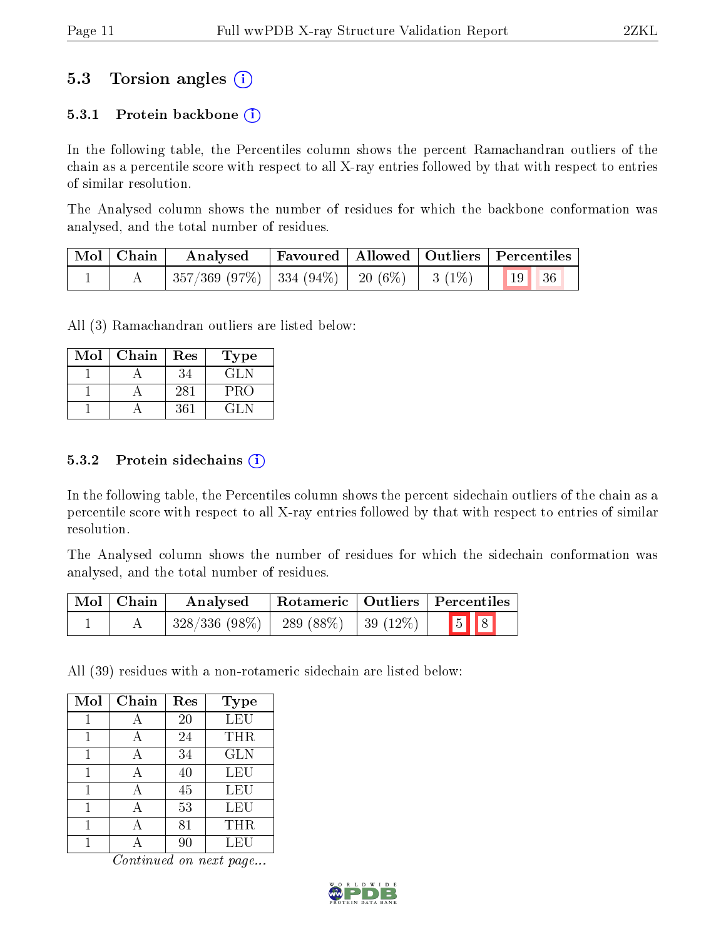### 5.3 Torsion angles (i)

#### 5.3.1 Protein backbone  $(i)$

In the following table, the Percentiles column shows the percent Ramachandran outliers of the chain as a percentile score with respect to all X-ray entries followed by that with respect to entries of similar resolution.

The Analysed column shows the number of residues for which the backbone conformation was analysed, and the total number of residues.

| Mol   Chain | Analysed                                                        |  | Favoured   Allowed   Outliers   Percentiles |  |
|-------------|-----------------------------------------------------------------|--|---------------------------------------------|--|
|             | $^{\perp}$ 357/369 (97%)   334 (94%)   20 (6%)   3 (1%)   19 36 |  |                                             |  |

All (3) Ramachandran outliers are listed below:

| Mol | Chain | Res | Type   |
|-----|-------|-----|--------|
|     |       | 34  | GLN    |
|     |       | 281 | PRO    |
|     |       | 361 | 14 L L |

#### $5.3.2$  Protein sidechains  $(i)$

In the following table, the Percentiles column shows the percent sidechain outliers of the chain as a percentile score with respect to all X-ray entries followed by that with respect to entries of similar resolution.

The Analysed column shows the number of residues for which the sidechain conformation was analysed, and the total number of residues.

| $\mid$ Mol $\mid$ Chain | Rotameric   Outliers   Percentiles<br>Analysed |                        |                         |  |
|-------------------------|------------------------------------------------|------------------------|-------------------------|--|
|                         | $328/336(98\%)$                                | 289 (88\%)   39 (12\%) | $\boxed{5}$ $\boxed{8}$ |  |

All (39) residues with a non-rotameric sidechain are listed below:

| Mol | Chain | Res | <b>Type</b> |
|-----|-------|-----|-------------|
|     |       | 20  | <b>LEU</b>  |
|     |       | 24  | THR         |
|     |       | 34  | <b>GLN</b>  |
|     |       | 40  | LEU         |
|     | А     | 45  | LEU         |
|     |       | 53  | LEU         |
|     |       | 81  | THR         |
|     |       | 90  | LEU         |

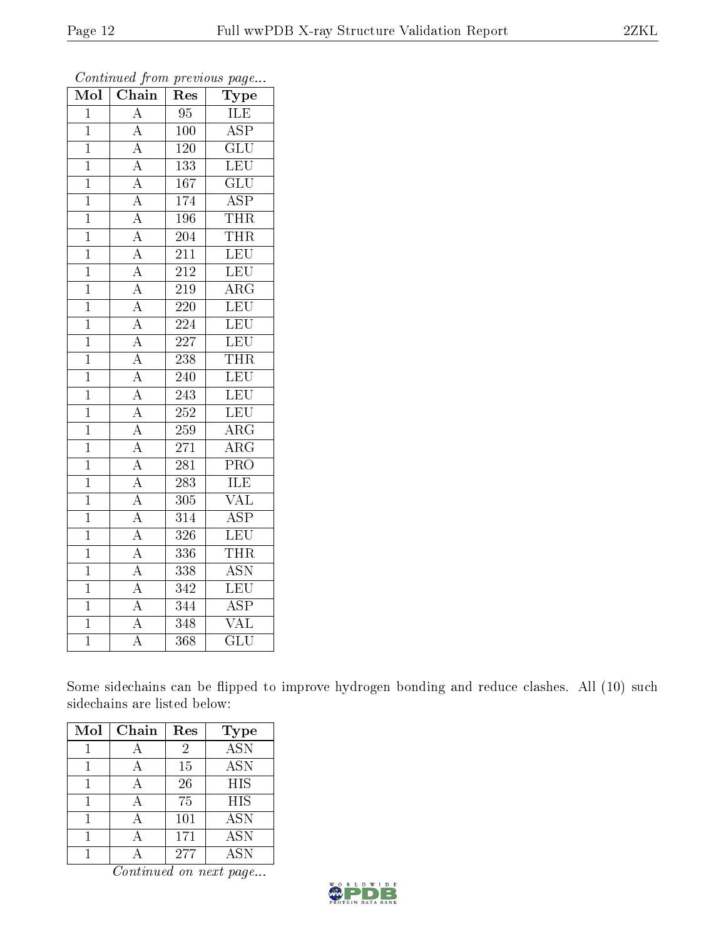| Mol            | Chain                               | Res              | Type                    |
|----------------|-------------------------------------|------------------|-------------------------|
| $\overline{1}$ | $\overline{\rm A}$                  | 95               | ILE                     |
| $\overline{1}$ | $\overline{A}$                      | 100              | $\overline{\text{ASP}}$ |
| $\overline{1}$ | $\overline{A}$                      | 120              | $\overline{\text{GLU}}$ |
| $\overline{1}$ | $\overline{A}$                      | 133              | LEU                     |
| $\overline{1}$ | $\overline{A}$                      | $\overline{167}$ | $\overline{{\rm GLU}}$  |
| $\mathbf{1}$   | $\overline{A}$                      | 174              | $\overline{\text{ASP}}$ |
| $\mathbf{1}$   | $\overline{A}$                      | 196              | <b>THR</b>              |
| $\mathbf{1}$   |                                     | 204              | <b>THR</b>              |
| $\mathbf 1$    | $\frac{\overline{A}}{\overline{A}}$ | 211              | LEU                     |
| $\overline{1}$ |                                     | $\overline{212}$ | LEU                     |
| $\mathbf{1}$   | $\overline{A}$                      | 219              | $\overline{\rm{ARG}}$   |
| $\overline{1}$ | $\overline{A}$                      | 220              | LEU                     |
| $\overline{1}$ | $\overline{A}$                      | 224              | LEU                     |
| $\overline{1}$ | $\overline{A}$                      | 227              | LEU                     |
| $\overline{1}$ | $\overline{A}$                      | 238              | <b>THR</b>              |
| $\overline{1}$ | $\overline{A}$                      | 240              | LEU                     |
| $\mathbf{1}$   | $\overline{A}$                      | 243              | LEU                     |
| $\mathbf{1}$   | $\overline{A}$                      | 252              | LEU                     |
| $\overline{1}$ | $\overline{A}$                      | $\overline{2}59$ | $\overline{\text{ARG}}$ |
| $\overline{1}$ | $\overline{A}$                      | 271              | $\overline{\rm{ARG}}$   |
| $\mathbf 1$    | $\overline{A}$                      | 281              | PRO                     |
| $\overline{1}$ | $\overline{A}$                      | $\overline{283}$ | <b>ILE</b>              |
| $\mathbf{1}$   | $\overline{A}$                      | 305              | VAL                     |
| $\overline{1}$ | $\overline{A}$                      | $\overline{314}$ | $\overline{\text{ASP}}$ |
| $\overline{1}$ | $\overline{A}$                      | 326              | LEU                     |
| $\overline{1}$ | $\overline{A}$                      | 336              | <b>THR</b>              |
| $\overline{1}$ | $\overline{A}$                      | 338              | $\overline{\text{ASN}}$ |
| $\mathbf{1}$   | $\frac{\overline{A}}{A}$            | 342              | $\overline{\text{LEU}}$ |
| $\mathbf{1}$   |                                     | 344              | $\overline{\rm ASP}$    |
| $\overline{1}$ | А                                   | 348              | $\overline{\text{VAL}}$ |
| $\overline{1}$ | $\overline{\rm A}$                  | $\overline{368}$ | $\overline{{\rm GLU}}$  |

Continued from previous page...

Some sidechains can be flipped to improve hydrogen bonding and reduce clashes. All (10) such sidechains are listed below:

| Mol | Chain | Res | <b>Type</b> |
|-----|-------|-----|-------------|
|     |       | 2   | <b>ASN</b>  |
|     |       | 15  | <b>ASN</b>  |
|     |       | 26  | <b>HIS</b>  |
|     |       | 75  | <b>HIS</b>  |
|     |       | 101 | <b>ASN</b>  |
|     |       | 171 | <b>ASN</b>  |
|     |       | 277 | <b>ASN</b>  |

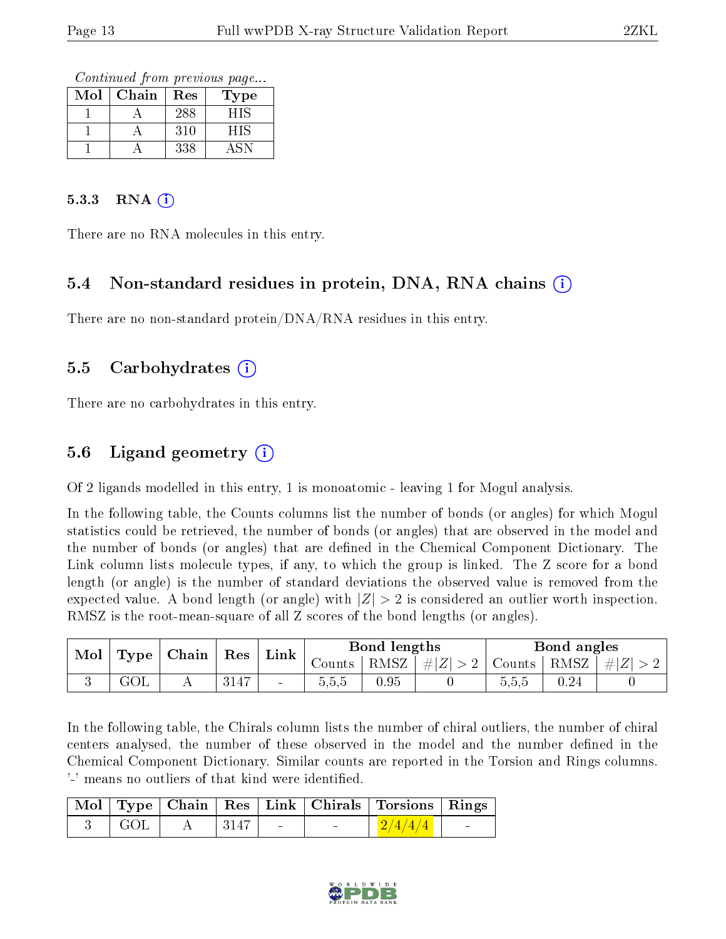Continued from previous page...

| $\operatorname{Mol}$ | Chain | Res | l'ype |
|----------------------|-------|-----|-------|
|                      |       | 288 | HIS   |
|                      |       | 310 | HIS   |
|                      |       | 338 |       |

#### $5.3.3$  RNA  $(i)$

There are no RNA molecules in this entry.

#### 5.4 Non-standard residues in protein, DNA, RNA chains (i)

There are no non-standard protein/DNA/RNA residues in this entry.

#### 5.5 Carbohydrates (i)

There are no carbohydrates in this entry.

### 5.6 Ligand geometry (i)

Of 2 ligands modelled in this entry, 1 is monoatomic - leaving 1 for Mogul analysis.

In the following table, the Counts columns list the number of bonds (or angles) for which Mogul statistics could be retrieved, the number of bonds (or angles) that are observed in the model and the number of bonds (or angles) that are dened in the Chemical Component Dictionary. The Link column lists molecule types, if any, to which the group is linked. The Z score for a bond length (or angle) is the number of standard deviations the observed value is removed from the expected value. A bond length (or angle) with  $|Z| > 2$  is considered an outlier worth inspection. RMSZ is the root-mean-square of all Z scores of the bond lengths (or angles).

| Mol<br>Type |     | Chain | Res  | Link                     |                               | Bond lengths |        |         | Bond angles |  |
|-------------|-----|-------|------|--------------------------|-------------------------------|--------------|--------|---------|-------------|--|
|             |     |       |      | Counts-                  | $\mathcal{L}_{\text{RMSZ}+1}$ | $\# Z $      | Counts | RMSZ    | $\# Z $     |  |
|             | JUL |       | 3147 | $\overline{\phantom{a}}$ | 5.5.5                         | 0.95         |        | b, b, b | $0.24\,$    |  |

In the following table, the Chirals column lists the number of chiral outliers, the number of chiral centers analysed, the number of these observed in the model and the number defined in the Chemical Component Dictionary. Similar counts are reported in the Torsion and Rings columns. '-' means no outliers of that kind were identified.

|     |      |        | Mol   Type   Chain   Res   Link   Chirals   Torsions   Rings |                          |
|-----|------|--------|--------------------------------------------------------------|--------------------------|
| GOL | 3147 | $\sim$ | $\left  \frac{2}{4/4/4} \right $                             | <b>Contract Contract</b> |

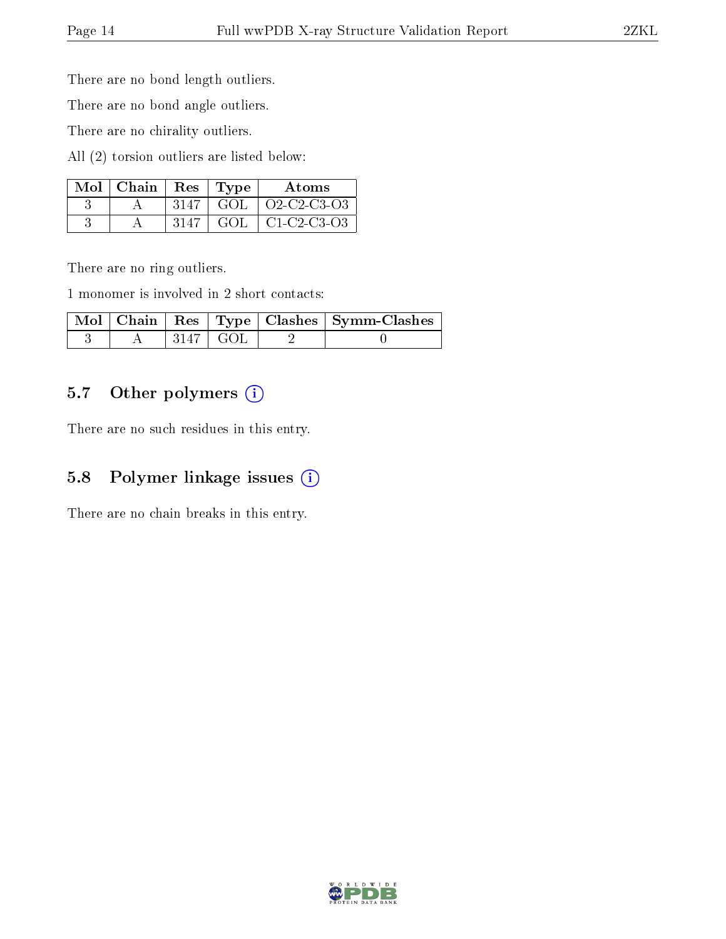There are no bond length outliers.

There are no bond angle outliers.

There are no chirality outliers.

All (2) torsion outliers are listed below:

| $Mol$   Chain   Res   Type |      |      | Atoms                          |
|----------------------------|------|------|--------------------------------|
|                            |      |      | $3147$ GOL $\vert$ O2-C2-C3-O3 |
|                            | 3147 | GOL. | C1-C2-C3-O3                    |

There are no ring outliers.

1 monomer is involved in 2 short contacts:

|  |             | Mol   Chain   Res   Type   Clashes   Symm-Clashes |
|--|-------------|---------------------------------------------------|
|  | -3147   GOL |                                                   |

### 5.7 [O](https://www.wwpdb.org/validation/2017/XrayValidationReportHelp#nonstandard_residues_and_ligands)ther polymers (i)

There are no such residues in this entry.

#### 5.8 Polymer linkage issues (i)

There are no chain breaks in this entry.

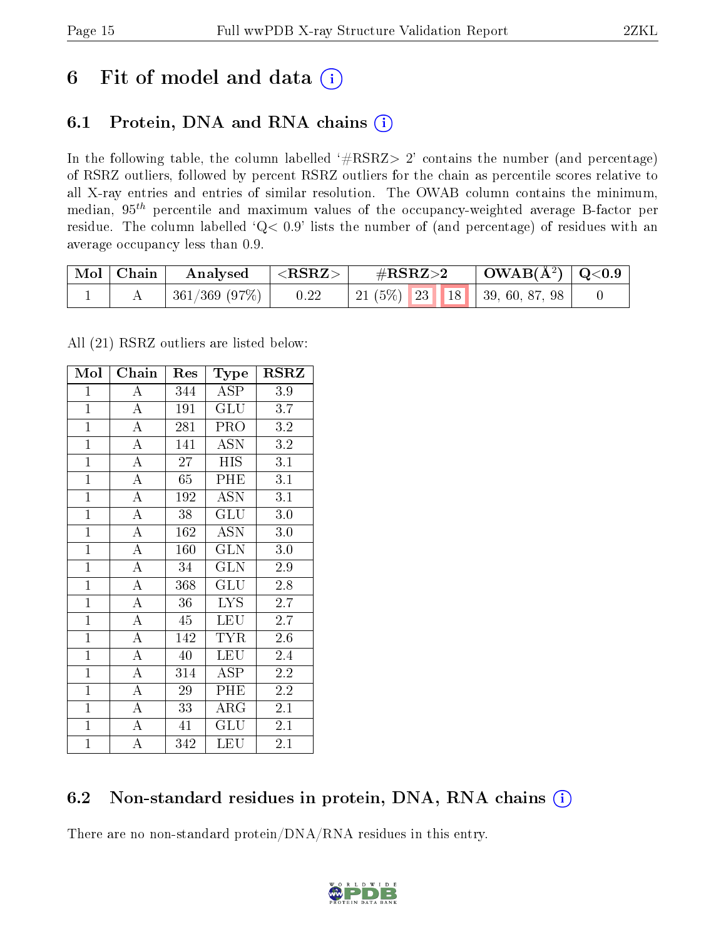## 6 Fit of model and data  $(i)$

## 6.1 Protein, DNA and RNA chains  $(i)$

In the following table, the column labelled  $#RSRZ> 2'$  contains the number (and percentage) of RSRZ outliers, followed by percent RSRZ outliers for the chain as percentile scores relative to all X-ray entries and entries of similar resolution. The OWAB column contains the minimum, median,  $95<sup>th</sup>$  percentile and maximum values of the occupancy-weighted average B-factor per residue. The column labelled ' $Q< 0.9$ ' lists the number of (and percentage) of residues with an average occupancy less than 0.9.

| Mol   Chain | Analysed     | $\langle {\rm \,RRZ}\rangle$ | $\rm \#RSRZ{>}2$                    | $\mid$ OWAB(Å <sup>2</sup> ) $\mid$ Q<0.9 |  |
|-------------|--------------|------------------------------|-------------------------------------|-------------------------------------------|--|
|             | 361/369(97%) | 0.22                         | 21 (5\%)   23   18   39, 60, 87, 98 |                                           |  |

All (21) RSRZ outliers are listed below:

| Mol            | $Ch\overline{ain}$ | Res | Type                    | <b>RSRZ</b>      |
|----------------|--------------------|-----|-------------------------|------------------|
| $\mathbf{1}$   | $\boldsymbol{A}$   | 344 | <b>ASP</b>              | 3.9              |
| $\mathbf{1}$   | $\overline{A}$     | 191 | GLU                     | 3.7              |
| $\overline{1}$ | $\overline{A}$     | 281 | PRO                     | 3.2              |
| $\mathbf{1}$   | $\boldsymbol{A}$   | 141 | <b>ASN</b>              | 3.2              |
| $\overline{1}$ | $\overline{A}$     | 27  | HIS                     | $\overline{3.1}$ |
| $\overline{1}$ | $\overline{\rm A}$ | 65  | PHE                     | 3.1              |
| $\mathbf{1}$   | $\overline{\rm A}$ | 192 | <b>ASN</b>              | $\overline{3.1}$ |
| $\mathbf{1}$   | $\overline{A}$     | 38  | GLU                     | 3.0              |
| $\overline{1}$ | $\overline{\rm A}$ | 162 | <b>ASN</b>              | 3.0              |
| $\mathbf{1}$   | $\overline{A}$     | 160 | $\overline{\text{GLN}}$ | $3.0\,$          |
| $\mathbf{1}$   | $\overline{A}$     | 34  | <b>GLN</b>              | 2.9              |
| $\mathbf{1}$   | $\overline{A}$     | 368 | GLU                     | 2.8              |
| $\mathbf{1}$   | $\overline{A}$     | 36  | LYS.                    | 2.7              |
| $\mathbf{1}$   | $\overline{\rm A}$ | 45  | <b>LEU</b>              | $2.7\,$          |
| $\mathbf{1}$   | $\overline{\rm A}$ | 142 | TYR                     | 2.6              |
| $\overline{1}$ | $\overline{\rm A}$ | 40  | <b>LEU</b>              | 2.4              |
| $\overline{1}$ | $\overline{A}$     | 314 | $\overline{\rm ASP}$    | $\overline{2.2}$ |
| $\mathbf{1}$   | $\boldsymbol{A}$   | 29  | PHE                     | 2.2              |
| $\overline{1}$ | $\overline{\rm A}$ | 33  | $\rm{ARG}$              | 2.1              |
| $\mathbf{1}$   | $\overline{A}$     | 41  | GLU                     | 2.1              |
| $\mathbf{1}$   | A                  | 342 | LEU                     | 2.1              |

### 6.2 Non-standard residues in protein, DNA, RNA chains (i)

There are no non-standard protein/DNA/RNA residues in this entry.